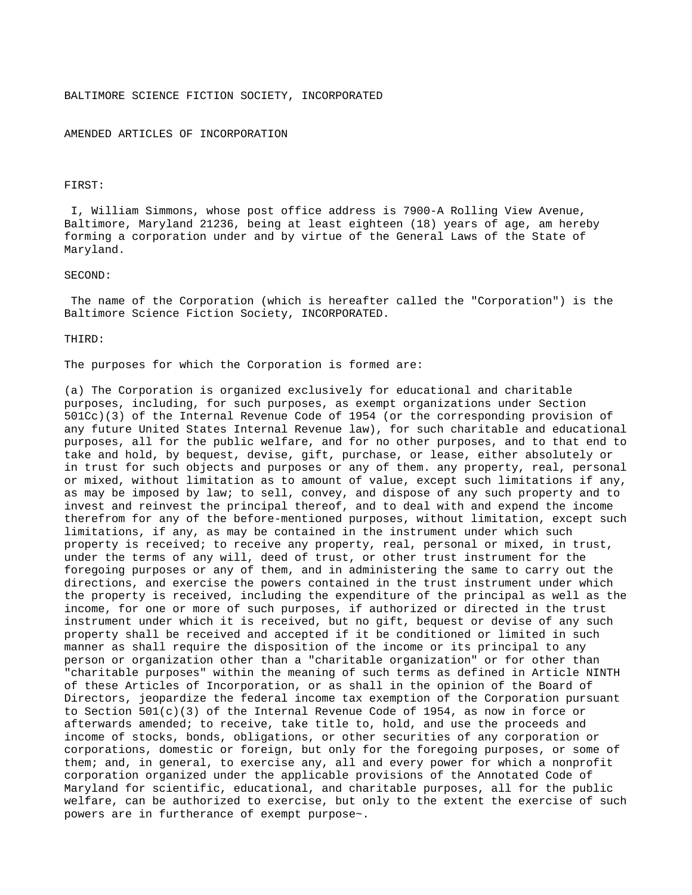## BALTIMORE SCIENCE FICTION SOCIETY, INCORPORATED

#### AMENDED ARTICLES OF INCORPORATION

### FIRST:

 I, William Simmons, whose post office address is 7900-A Rolling View Avenue, Baltimore, Maryland 21236, being at least eighteen (18) years of age, am hereby forming a corporation under and by virtue of the General Laws of the State of Maryland.

### SECOND:

 The name of the Corporation (which is hereafter called the "Corporation") is the Baltimore Science Fiction Society, INCORPORATED.

#### THIRD:

The purposes for which the Corporation is formed are:

(a) The Corporation is organized exclusively for educational and charitable purposes, including, for such purposes, as exempt organizations under Section 501Cc)(3) of the Internal Revenue Code of 1954 (or the corresponding provision of any future United States Internal Revenue law), for such charitable and educational purposes, all for the public welfare, and for no other purposes, and to that end to take and hold, by bequest, devise, gift, purchase, or lease, either absolutely or in trust for such objects and purposes or any of them. any property, real, personal or mixed, without limitation as to amount of value, except such limitations if any, as may be imposed by law; to sell, convey, and dispose of any such property and to invest and reinvest the principal thereof, and to deal with and expend the income therefrom for any of the before-mentioned purposes, without limitation, except such limitations, if any, as may be contained in the instrument under which such property is received; to receive any property, real, personal or mixed, in trust, under the terms of any will, deed of trust, or other trust instrument for the foregoing purposes or any of them, and in administering the same to carry out the directions, and exercise the powers contained in the trust instrument under which the property is received, including the expenditure of the principal as well as the income, for one or more of such purposes, if authorized or directed in the trust instrument under which it is received, but no gift, bequest or devise of any such property shall be received and accepted if it be conditioned or limited in such manner as shall require the disposition of the income or its principal to any person or organization other than a "charitable organization" or for other than "charitable purposes" within the meaning of such terms as defined in Article NINTH of these Articles of Incorporation, or as shall in the opinion of the Board of Directors, jeopardize the federal income tax exemption of the Corporation pursuant to Section 501(c)(3) of the Internal Revenue Code of 1954, as now in force or afterwards amended; to receive, take title to, hold, and use the proceeds and income of stocks, bonds, obligations, or other securities of any corporation or corporations, domestic or foreign, but only for the foregoing purposes, or some of them; and, in general, to exercise any, all and every power for which a nonprofit corporation organized under the applicable provisions of the Annotated Code of Maryland for scientific, educational, and charitable purposes, all for the public welfare, can be authorized to exercise, but only to the extent the exercise of such powers are in furtherance of exempt purpose~.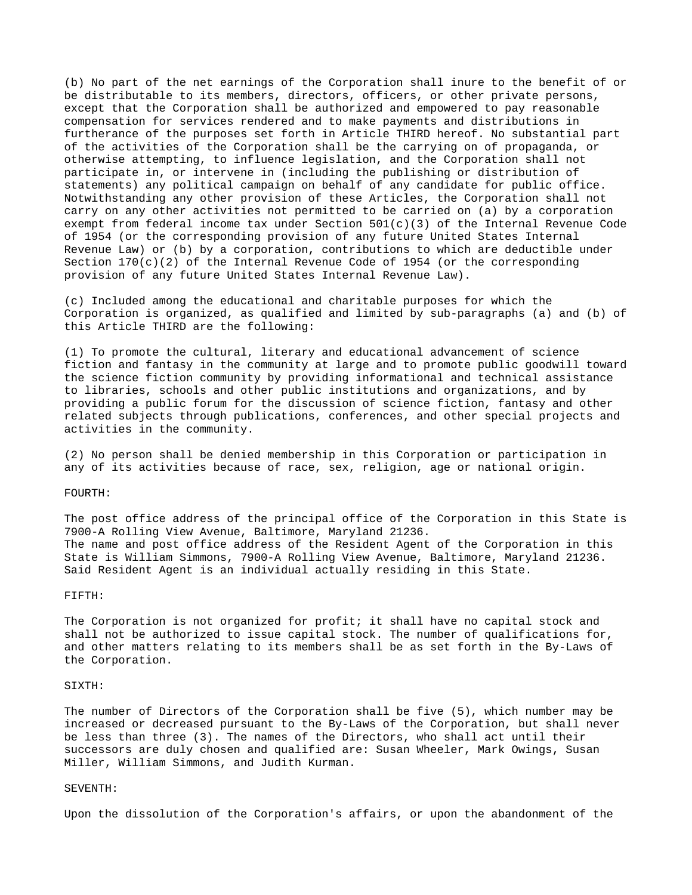(b) No part of the net earnings of the Corporation shall inure to the benefit of or be distributable to its members, directors, officers, or other private persons, except that the Corporation shall be authorized and empowered to pay reasonable compensation for services rendered and to make payments and distributions in furtherance of the purposes set forth in Article THIRD hereof. No substantial part of the activities of the Corporation shall be the carrying on of propaganda, or otherwise attempting, to influence legislation, and the Corporation shall not participate in, or intervene in (including the publishing or distribution of statements) any political campaign on behalf of any candidate for public office. Notwithstanding any other provision of these Articles, the Corporation shall not carry on any other activities not permitted to be carried on (a) by a corporation exempt from federal income tax under Section 501(c)(3) of the Internal Revenue Code of 1954 (or the corresponding provision of any future United States Internal Revenue Law) or (b) by a corporation, contributions to which are deductible under Section  $170(c)(2)$  of the Internal Revenue Code of 1954 (or the corresponding provision of any future United States Internal Revenue Law).

(c) Included among the educational and charitable purposes for which the Corporation is organized, as qualified and limited by sub-paragraphs (a) and (b) of this Article THIRD are the following:

(1) To promote the cultural, literary and educational advancement of science fiction and fantasy in the community at large and to promote public goodwill toward the science fiction community by providing informational and technical assistance to libraries, schools and other public institutions and organizations, and by providing a public forum for the discussion of science fiction, fantasy and other related subjects through publications, conferences, and other special projects and activities in the community.

(2) No person shall be denied membership in this Corporation or participation in any of its activities because of race, sex, religion, age or national origin.

# FOURTH:

The post office address of the principal office of the Corporation in this State is 7900-A Rolling View Avenue, Baltimore, Maryland 21236. The name and post office address of the Resident Agent of the Corporation in this State is William Simmons, 7900-A Rolling View Avenue, Baltimore, Maryland 21236. Said Resident Agent is an individual actually residing in this State.

#### FIFTH:

The Corporation is not organized for profit; it shall have no capital stock and shall not be authorized to issue capital stock. The number of qualifications for, and other matters relating to its members shall be as set forth in the By-Laws of the Corporation.

#### SIXTH:

The number of Directors of the Corporation shall be five (5), which number may be increased or decreased pursuant to the By-Laws of the Corporation, but shall never be less than three (3). The names of the Directors, who shall act until their successors are duly chosen and qualified are: Susan Wheeler, Mark Owings, Susan Miller, William Simmons, and Judith Kurman.

### SEVENTH:

Upon the dissolution of the Corporation's affairs, or upon the abandonment of the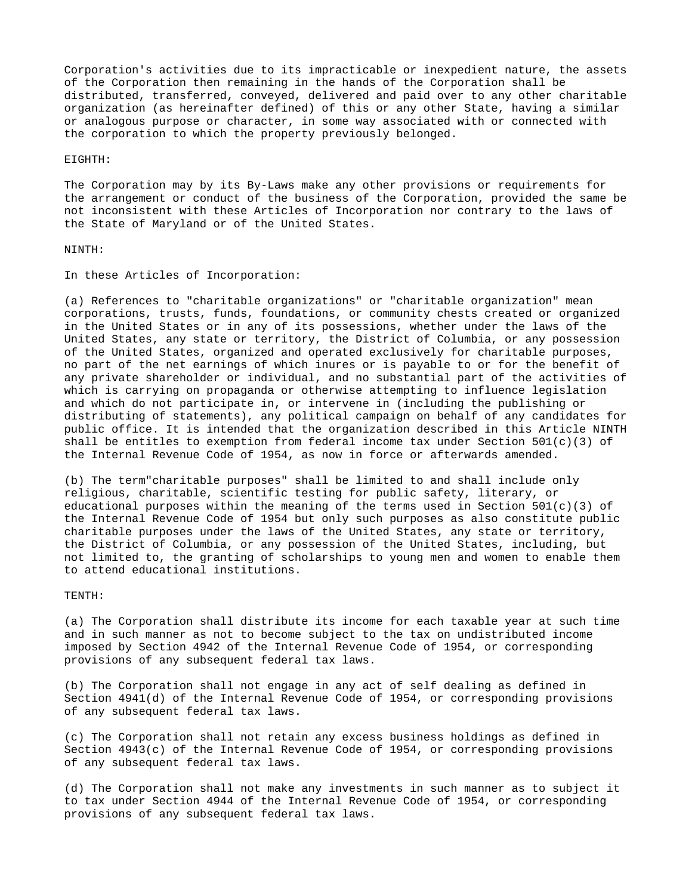Corporation's activities due to its impracticable or inexpedient nature, the assets of the Corporation then remaining in the hands of the Corporation shall be distributed, transferred, conveyed, delivered and paid over to any other charitable organization (as hereinafter defined) of this or any other State, having a similar or analogous purpose or character, in some way associated with or connected with the corporation to which the property previously belonged.

EIGHTH:

The Corporation may by its By-Laws make any other provisions or requirements for the arrangement or conduct of the business of the Corporation, provided the same be not inconsistent with these Articles of Incorporation nor contrary to the laws of the State of Maryland or of the United States.

# NINTH:

In these Articles of Incorporation:

(a) References to "charitable organizations" or "charitable organization" mean corporations, trusts, funds, foundations, or community chests created or organized in the United States or in any of its possessions, whether under the laws of the United States, any state or territory, the District of Columbia, or any possession of the United States, organized and operated exclusively for charitable purposes, no part of the net earnings of which inures or is payable to or for the benefit of any private shareholder or individual, and no substantial part of the activities of which is carrying on propaganda or otherwise attempting to influence legislation and which do not participate in, or intervene in (including the publishing or distributing of statements), any political campaign on behalf of any candidates for public office. It is intended that the organization described in this Article NINTH shall be entitles to exemption from federal income tax under Section 501(c)(3) of the Internal Revenue Code of 1954, as now in force or afterwards amended.

(b) The term"charitable purposes" shall be limited to and shall include only religious, charitable, scientific testing for public safety, literary, or educational purposes within the meaning of the terms used in Section  $501(c)(3)$  of the Internal Revenue Code of 1954 but only such purposes as also constitute public charitable purposes under the laws of the United States, any state or territory, the District of Columbia, or any possession of the United States, including, but not limited to, the granting of scholarships to young men and women to enable them to attend educational institutions.

TENTH:

(a) The Corporation shall distribute its income for each taxable year at such time and in such manner as not to become subject to the tax on undistributed income imposed by Section 4942 of the Internal Revenue Code of 1954, or corresponding provisions of any subsequent federal tax laws.

(b) The Corporation shall not engage in any act of self dealing as defined in Section 4941(d) of the Internal Revenue Code of 1954, or corresponding provisions of any subsequent federal tax laws.

(c) The Corporation shall not retain any excess business holdings as defined in Section 4943(c) of the Internal Revenue Code of 1954, or corresponding provisions of any subsequent federal tax laws.

(d) The Corporation shall not make any investments in such manner as to subject it to tax under Section 4944 of the Internal Revenue Code of 1954, or corresponding provisions of any subsequent federal tax laws.